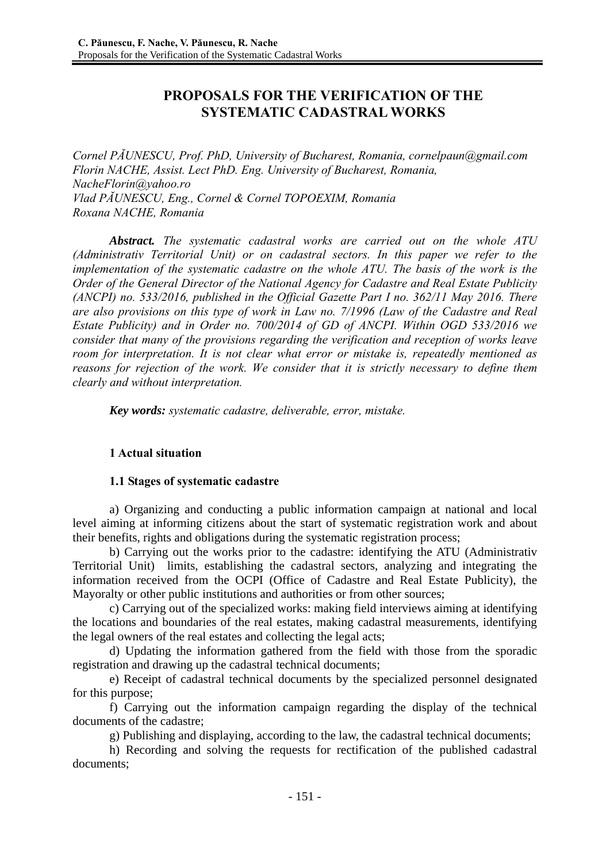# **PROPOSALS FOR THE VERIFICATION OF THE SYSTEMATIC CADASTRAL WORKS**

*Cornel PĂUNESCU, Prof. PhD, University of Bucharest, Romania, cornelpaun@gmail.com Florin NACHE, Assist. Lect PhD. Eng. University of Bucharest, Romania, NacheFlorin@yahoo.ro Vlad PĂUNESCU, Eng., Cornel & Cornel TOPOEXIM, Romania Roxana NACHE, Romania* 

*Abstract. The systematic cadastral works are carried out on the whole ATU (Administrativ Territorial Unit) or on cadastral sectors. In this paper we refer to the implementation of the systematic cadastre on the whole ATU. The basis of the work is the Order of the General Director of the National Agency for Cadastre and Real Estate Publicity (ANCPI) no. 533/2016, published in the Official Gazette Part I no. 362/11 May 2016. There are also provisions on this type of work in Law no. 7/1996 (Law of the Cadastre and Real Estate Publicity) and in Order no. 700/2014 of GD of ANCPI. Within OGD 533/2016 we consider that many of the provisions regarding the verification and reception of works leave room for interpretation. It is not clear what error or mistake is, repeatedly mentioned as reasons for rejection of the work. We consider that it is strictly necessary to define them clearly and without interpretation.* 

*Key words: systematic cadastre, deliverable, error, mistake.* 

## **1 Actual situation**

## **1.1 Stages of systematic cadastre**

a) Organizing and conducting a public information campaign at national and local level aiming at informing citizens about the start of systematic registration work and about their benefits, rights and obligations during the systematic registration process;

b) Carrying out the works prior to the cadastre: identifying the ATU (Administrativ Territorial Unit) limits, establishing the cadastral sectors, analyzing and integrating the information received from the OCPI (Office of Cadastre and Real Estate Publicity), the Mayoralty or other public institutions and authorities or from other sources;

c) Carrying out of the specialized works: making field interviews aiming at identifying the locations and boundaries of the real estates, making cadastral measurements, identifying the legal owners of the real estates and collecting the legal acts;

d) Updating the information gathered from the field with those from the sporadic registration and drawing up the cadastral technical documents;

e) Receipt of cadastral technical documents by the specialized personnel designated for this purpose;

f) Carrying out the information campaign regarding the display of the technical documents of the cadastre;

g) Publishing and displaying, according to the law, the cadastral technical documents;

h) Recording and solving the requests for rectification of the published cadastral documents;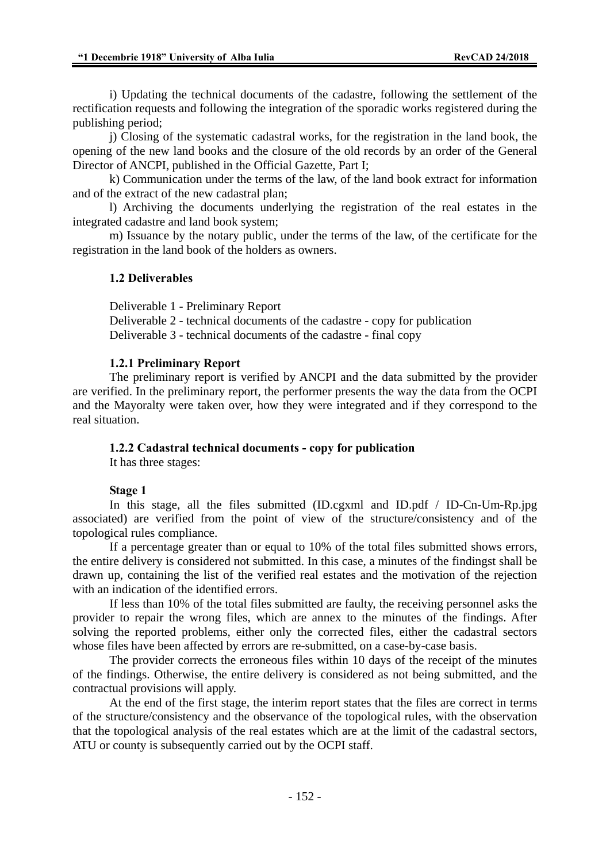i) Updating the technical documents of the cadastre, following the settlement of the rectification requests and following the integration of the sporadic works registered during the publishing period;

j) Closing of the systematic cadastral works, for the registration in the land book, the opening of the new land books and the closure of the old records by an order of the General Director of ANCPI, published in the Official Gazette, Part I;

k) Communication under the terms of the law, of the land book extract for information and of the extract of the new cadastral plan;

l) Archiving the documents underlying the registration of the real estates in the integrated cadastre and land book system;

m) Issuance by the notary public, under the terms of the law, of the certificate for the registration in the land book of the holders as owners.

### **1.2 Deliverables**

Deliverable 1 - Preliminary Report

Deliverable 2 - technical documents of the cadastre - copy for publication

Deliverable 3 - technical documents of the cadastre - final copy

### **1.2.1 Preliminary Report**

The preliminary report is verified by ANCPI and the data submitted by the provider are verified. In the preliminary report, the performer presents the way the data from the OCPI and the Mayoralty were taken over, how they were integrated and if they correspond to the real situation.

### **1.2.2 Cadastral technical documents - copy for publication**

It has three stages:

#### **Stage 1**

In this stage, all the files submitted (ID.cgxml and ID.pdf / ID-Cn-Um-Rp.jpg associated) are verified from the point of view of the structure/consistency and of the topological rules compliance.

If a percentage greater than or equal to 10% of the total files submitted shows errors, the entire delivery is considered not submitted. In this case, a minutes of the findingst shall be drawn up, containing the list of the verified real estates and the motivation of the rejection with an indication of the identified errors.

If less than 10% of the total files submitted are faulty, the receiving personnel asks the provider to repair the wrong files, which are annex to the minutes of the findings. After solving the reported problems, either only the corrected files, either the cadastral sectors whose files have been affected by errors are re-submitted, on a case-by-case basis.

The provider corrects the erroneous files within 10 days of the receipt of the minutes of the findings. Otherwise, the entire delivery is considered as not being submitted, and the contractual provisions will apply.

At the end of the first stage, the interim report states that the files are correct in terms of the structure/consistency and the observance of the topological rules, with the observation that the topological analysis of the real estates which are at the limit of the cadastral sectors, ATU or county is subsequently carried out by the OCPI staff.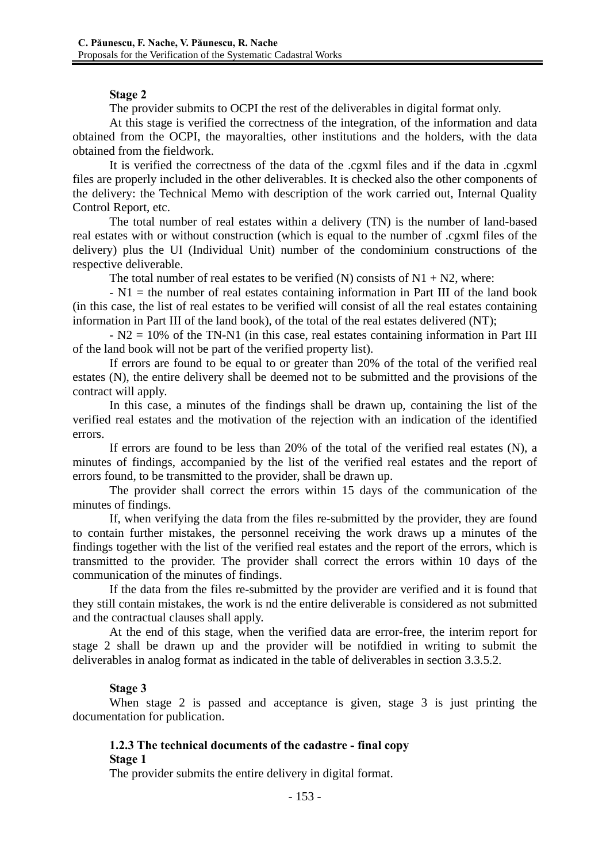### **Stage 2**

The provider submits to OCPI the rest of the deliverables in digital format only.

At this stage is verified the correctness of the integration, of the information and data obtained from the OCPI, the mayoralties, other institutions and the holders, with the data obtained from the fieldwork.

It is verified the correctness of the data of the .cgxml files and if the data in .cgxml files are properly included in the other deliverables. It is checked also the other components of the delivery: the Technical Memo with description of the work carried out, Internal Quality Control Report, etc.

The total number of real estates within a delivery (TN) is the number of land-based real estates with or without construction (which is equal to the number of .cgxml files of the delivery) plus the UI (Individual Unit) number of the condominium constructions of the respective deliverable.

The total number of real estates to be verified (N) consists of  $N1 + N2$ , where:

 $-N1$  = the number of real estates containing information in Part III of the land book (in this case, the list of real estates to be verified will consist of all the real estates containing information in Part III of the land book), of the total of the real estates delivered (NT);

- N2 = 10% of the TN-N1 (in this case, real estates containing information in Part III of the land book will not be part of the verified property list).

If errors are found to be equal to or greater than 20% of the total of the verified real estates (N), the entire delivery shall be deemed not to be submitted and the provisions of the contract will apply.

In this case, a minutes of the findings shall be drawn up, containing the list of the verified real estates and the motivation of the rejection with an indication of the identified errors.

If errors are found to be less than 20% of the total of the verified real estates (N), a minutes of findings, accompanied by the list of the verified real estates and the report of errors found, to be transmitted to the provider, shall be drawn up.

The provider shall correct the errors within 15 days of the communication of the minutes of findings.

If, when verifying the data from the files re-submitted by the provider, they are found to contain further mistakes, the personnel receiving the work draws up a minutes of the findings together with the list of the verified real estates and the report of the errors, which is transmitted to the provider. The provider shall correct the errors within 10 days of the communication of the minutes of findings.

If the data from the files re-submitted by the provider are verified and it is found that they still contain mistakes, the work is nd the entire deliverable is considered as not submitted and the contractual clauses shall apply.

At the end of this stage, when the verified data are error-free, the interim report for stage 2 shall be drawn up and the provider will be notifdied in writing to submit the deliverables in analog format as indicated in the table of deliverables in section 3.3.5.2.

## **Stage 3**

When stage 2 is passed and acceptance is given, stage 3 is just printing the documentation for publication.

## **1.2.3 The technical documents of the cadastre - final copy Stage 1**

The provider submits the entire delivery in digital format.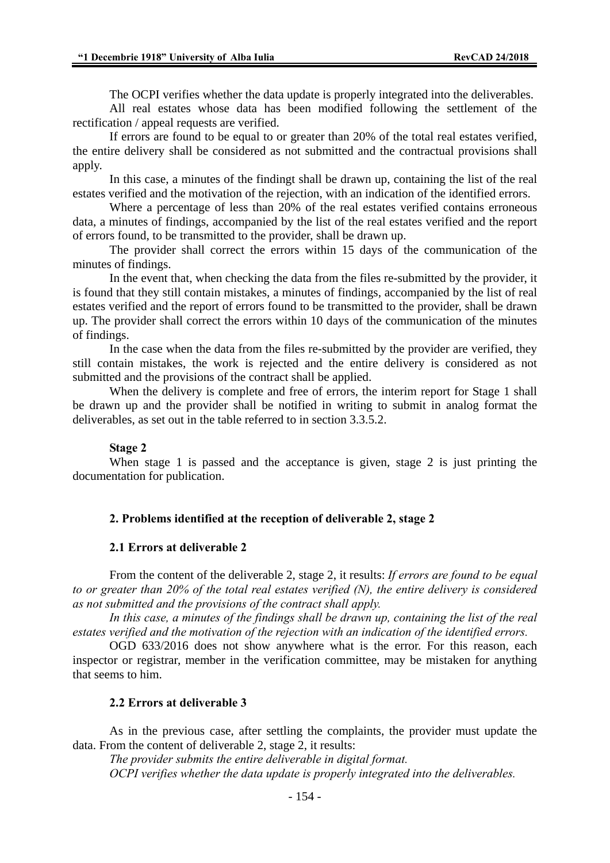The OCPI verifies whether the data update is properly integrated into the deliverables.

All real estates whose data has been modified following the settlement of the rectification / appeal requests are verified.

If errors are found to be equal to or greater than 20% of the total real estates verified, the entire delivery shall be considered as not submitted and the contractual provisions shall apply.

In this case, a minutes of the findingt shall be drawn up, containing the list of the real estates verified and the motivation of the rejection, with an indication of the identified errors.

Where a percentage of less than 20% of the real estates verified contains erroneous data, a minutes of findings, accompanied by the list of the real estates verified and the report of errors found, to be transmitted to the provider, shall be drawn up.

The provider shall correct the errors within 15 days of the communication of the minutes of findings.

In the event that, when checking the data from the files re-submitted by the provider, it is found that they still contain mistakes, a minutes of findings, accompanied by the list of real estates verified and the report of errors found to be transmitted to the provider, shall be drawn up. The provider shall correct the errors within 10 days of the communication of the minutes of findings.

In the case when the data from the files re-submitted by the provider are verified, they still contain mistakes, the work is rejected and the entire delivery is considered as not submitted and the provisions of the contract shall be applied.

When the delivery is complete and free of errors, the interim report for Stage 1 shall be drawn up and the provider shall be notified in writing to submit in analog format the deliverables, as set out in the table referred to in section 3.3.5.2.

#### **Stage 2**

When stage 1 is passed and the acceptance is given, stage 2 is just printing the documentation for publication.

### **2. Problems identified at the reception of deliverable 2, stage 2**

#### **2.1 Errors at deliverable 2**

From the content of the deliverable 2, stage 2, it results: *If errors are found to be equal to or greater than 20% of the total real estates verified (N), the entire delivery is considered as not submitted and the provisions of the contract shall apply.* 

*In this case, a minutes of the findings shall be drawn up, containing the list of the real estates verified and the motivation of the rejection with an indication of the identified errors.*

OGD 633/2016 does not show anywhere what is the error. For this reason, each inspector or registrar, member in the verification committee, may be mistaken for anything that seems to him.

## **2.2 Errors at deliverable 3**

As in the previous case, after settling the complaints, the provider must update the data. From the content of deliverable 2, stage 2, it results:

*The provider submits the entire deliverable in digital format. OCPI verifies whether the data update is properly integrated into the deliverables.*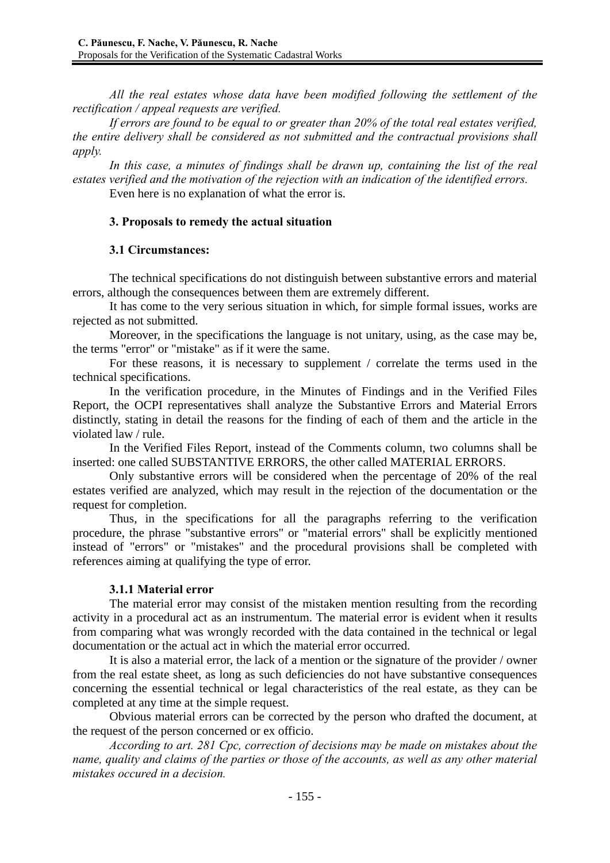*All the real estates whose data have been modified following the settlement of the rectification / appeal requests are verified.* 

*If errors are found to be equal to or greater than 20% of the total real estates verified, the entire delivery shall be considered as not submitted and the contractual provisions shall apply.* 

*In this case, a minutes of findings shall be drawn up, containing the list of the real estates verified and the motivation of the rejection with an indication of the identified errors.*

Even here is no explanation of what the error is.

## **3. Proposals to remedy the actual situation**

## **3.1 Circumstances:**

The technical specifications do not distinguish between substantive errors and material errors, although the consequences between them are extremely different.

It has come to the very serious situation in which, for simple formal issues, works are rejected as not submitted.

Moreover, in the specifications the language is not unitary, using, as the case may be, the terms "error" or "mistake" as if it were the same.

For these reasons, it is necessary to supplement / correlate the terms used in the technical specifications.

In the verification procedure, in the Minutes of Findings and in the Verified Files Report, the OCPI representatives shall analyze the Substantive Errors and Material Errors distinctly, stating in detail the reasons for the finding of each of them and the article in the violated law / rule.

In the Verified Files Report, instead of the Comments column, two columns shall be inserted: one called SUBSTANTIVE ERRORS, the other called MATERIAL ERRORS.

Only substantive errors will be considered when the percentage of 20% of the real estates verified are analyzed, which may result in the rejection of the documentation or the request for completion.

Thus, in the specifications for all the paragraphs referring to the verification procedure, the phrase "substantive errors" or "material errors" shall be explicitly mentioned instead of "errors" or "mistakes" and the procedural provisions shall be completed with references aiming at qualifying the type of error.

## **3.1.1 Material error**

The material error may consist of the mistaken mention resulting from the recording activity in a procedural act as an instrumentum. The material error is evident when it results from comparing what was wrongly recorded with the data contained in the technical or legal documentation or the actual act in which the material error occurred.

It is also a material error, the lack of a mention or the signature of the provider / owner from the real estate sheet, as long as such deficiencies do not have substantive consequences concerning the essential technical or legal characteristics of the real estate, as they can be completed at any time at the simple request.

Obvious material errors can be corrected by the person who drafted the document, at the request of the person concerned or ex officio.

*According to art. 281 Cpc, correction of decisions may be made on mistakes about the name, quality and claims of the parties or those of the accounts, as well as any other material mistakes occured in a decision.*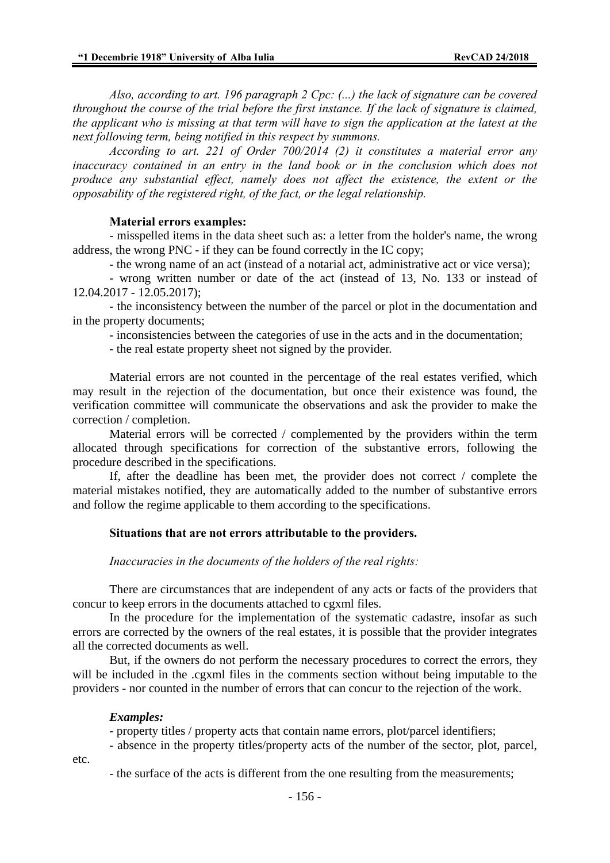*Also, according to art. 196 paragraph 2 Cpc: (...) the lack of signature can be covered throughout the course of the trial before the first instance. If the lack of signature is claimed, the applicant who is missing at that term will have to sign the application at the latest at the next following term, being notified in this respect by summons.* 

*According to art. 221 of Order 700/2014 (2) it constitutes a material error any inaccuracy contained in an entry in the land book or in the conclusion which does not produce any substantial effect, namely does not affect the existence, the extent or the opposability of the registered right, of the fact, or the legal relationship.* 

#### **Material errors examples:**

- misspelled items in the data sheet such as: a letter from the holder's name, the wrong address, the wrong PNC - if they can be found correctly in the IC copy;

- the wrong name of an act (instead of a notarial act, administrative act or vice versa);

- wrong written number or date of the act (instead of 13, No. 133 or instead of 12.04.2017 - 12.05.2017);

- the inconsistency between the number of the parcel or plot in the documentation and in the property documents;

- inconsistencies between the categories of use in the acts and in the documentation;

- the real estate property sheet not signed by the provider.

Material errors are not counted in the percentage of the real estates verified, which may result in the rejection of the documentation, but once their existence was found, the verification committee will communicate the observations and ask the provider to make the correction / completion.

Material errors will be corrected / complemented by the providers within the term allocated through specifications for correction of the substantive errors, following the procedure described in the specifications.

If, after the deadline has been met, the provider does not correct / complete the material mistakes notified, they are automatically added to the number of substantive errors and follow the regime applicable to them according to the specifications.

### **Situations that are not errors attributable to the providers.**

*Inaccuracies in the documents of the holders of the real rights:*

There are circumstances that are independent of any acts or facts of the providers that concur to keep errors in the documents attached to cgxml files.

In the procedure for the implementation of the systematic cadastre, insofar as such errors are corrected by the owners of the real estates, it is possible that the provider integrates all the corrected documents as well.

But, if the owners do not perform the necessary procedures to correct the errors, they will be included in the .cgxml files in the comments section without being imputable to the providers - nor counted in the number of errors that can concur to the rejection of the work.

#### *Examples:*

- property titles / property acts that contain name errors, plot/parcel identifiers;

- absence in the property titles/property acts of the number of the sector, plot, parcel,

etc.

- the surface of the acts is different from the one resulting from the measurements;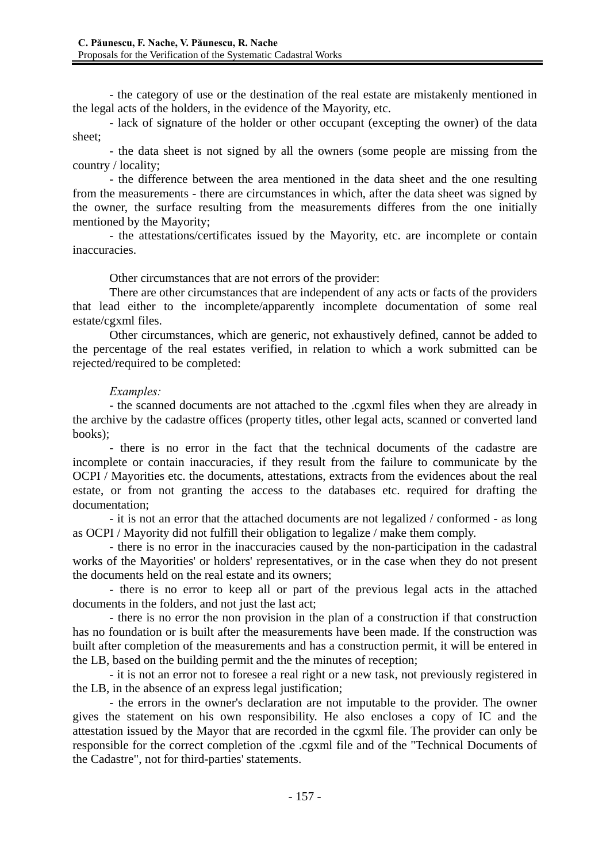- the category of use or the destination of the real estate are mistakenly mentioned in the legal acts of the holders, in the evidence of the Mayority, etc.

- lack of signature of the holder or other occupant (excepting the owner) of the data sheet;

- the data sheet is not signed by all the owners (some people are missing from the country / locality;

- the difference between the area mentioned in the data sheet and the one resulting from the measurements - there are circumstances in which, after the data sheet was signed by the owner, the surface resulting from the measurements differes from the one initially mentioned by the Mayority;

- the attestations/certificates issued by the Mayority, etc. are incomplete or contain inaccuracies.

Other circumstances that are not errors of the provider:

There are other circumstances that are independent of any acts or facts of the providers that lead either to the incomplete/apparently incomplete documentation of some real estate/cgxml files.

Other circumstances, which are generic, not exhaustively defined, cannot be added to the percentage of the real estates verified, in relation to which a work submitted can be rejected/required to be completed:

### *Examples:*

- the scanned documents are not attached to the .cgxml files when they are already in the archive by the cadastre offices (property titles, other legal acts, scanned or converted land books);

- there is no error in the fact that the technical documents of the cadastre are incomplete or contain inaccuracies, if they result from the failure to communicate by the OCPI / Mayorities etc. the documents, attestations, extracts from the evidences about the real estate, or from not granting the access to the databases etc. required for drafting the documentation;

- it is not an error that the attached documents are not legalized / conformed - as long as OCPI / Mayority did not fulfill their obligation to legalize / make them comply.

- there is no error in the inaccuracies caused by the non-participation in the cadastral works of the Mayorities' or holders' representatives, or in the case when they do not present the documents held on the real estate and its owners;

- there is no error to keep all or part of the previous legal acts in the attached documents in the folders, and not just the last act;

- there is no error the non provision in the plan of a construction if that construction has no foundation or is built after the measurements have been made. If the construction was built after completion of the measurements and has a construction permit, it will be entered in the LB, based on the building permit and the the minutes of reception;

- it is not an error not to foresee a real right or a new task, not previously registered in the LB, in the absence of an express legal justification;

- the errors in the owner's declaration are not imputable to the provider. The owner gives the statement on his own responsibility. He also encloses a copy of IC and the attestation issued by the Mayor that are recorded in the cgxml file. The provider can only be responsible for the correct completion of the .cgxml file and of the "Technical Documents of the Cadastre", not for third-parties' statements.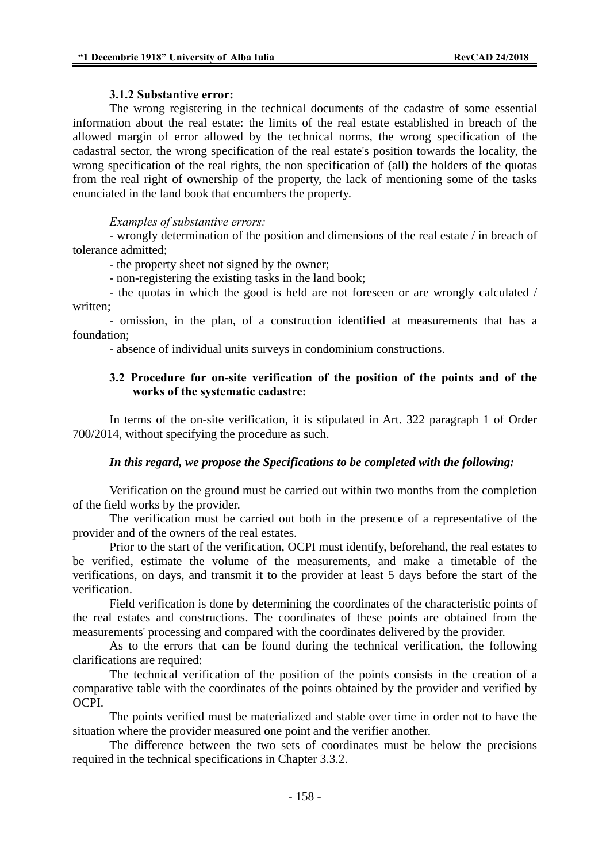## **3.1.2 Substantive error:**

The wrong registering in the technical documents of the cadastre of some essential information about the real estate: the limits of the real estate established in breach of the allowed margin of error allowed by the technical norms, the wrong specification of the cadastral sector, the wrong specification of the real estate's position towards the locality, the wrong specification of the real rights, the non specification of (all) the holders of the quotas from the real right of ownership of the property, the lack of mentioning some of the tasks enunciated in the land book that encumbers the property.

### *Examples of substantive errors:*

- wrongly determination of the position and dimensions of the real estate / in breach of tolerance admitted;

- the property sheet not signed by the owner;

- non-registering the existing tasks in the land book;

- the quotas in which the good is held are not foreseen or are wrongly calculated / written;

- omission, in the plan, of a construction identified at measurements that has a foundation;

- absence of individual units surveys in condominium constructions.

## **3.2 Procedure for on-site verification of the position of the points and of the works of the systematic cadastre:**

In terms of the on-site verification, it is stipulated in Art. 322 paragraph 1 of Order 700/2014, without specifying the procedure as such.

## *In this regard, we propose the Specifications to be completed with the following:*

Verification on the ground must be carried out within two months from the completion of the field works by the provider.

The verification must be carried out both in the presence of a representative of the provider and of the owners of the real estates.

Prior to the start of the verification, OCPI must identify, beforehand, the real estates to be verified, estimate the volume of the measurements, and make a timetable of the verifications, on days, and transmit it to the provider at least 5 days before the start of the verification.

Field verification is done by determining the coordinates of the characteristic points of the real estates and constructions. The coordinates of these points are obtained from the measurements' processing and compared with the coordinates delivered by the provider.

As to the errors that can be found during the technical verification, the following clarifications are required:

The technical verification of the position of the points consists in the creation of a comparative table with the coordinates of the points obtained by the provider and verified by OCPI.

The points verified must be materialized and stable over time in order not to have the situation where the provider measured one point and the verifier another.

The difference between the two sets of coordinates must be below the precisions required in the technical specifications in Chapter 3.3.2.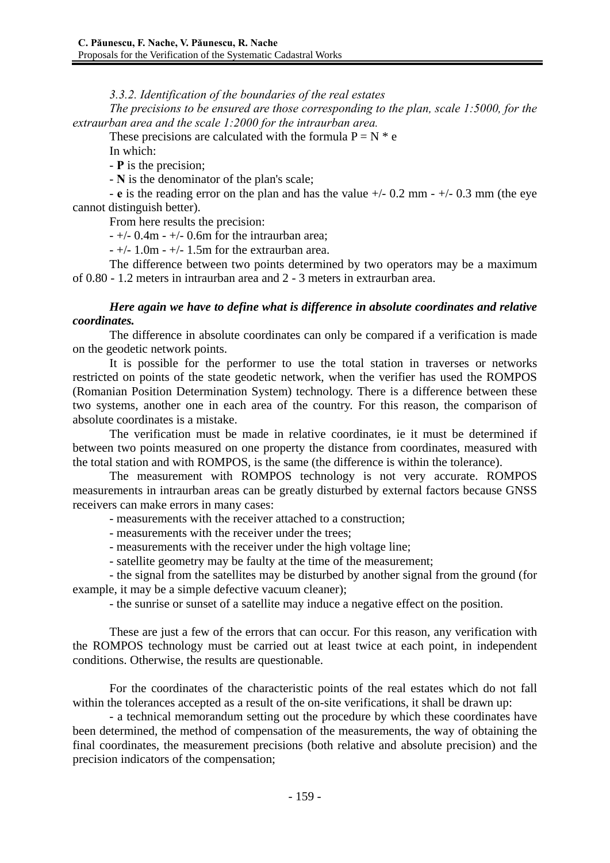*3.3.2. Identification of the boundaries of the real estates* 

*The precisions to be ensured are those corresponding to the plan, scale 1:5000, for the extraurban area and the scale 1:2000 for the intraurban area.*

These precisions are calculated with the formula  $P = N * e$ 

In which:

- **P** is the precision;

- **N** is the denominator of the plan's scale;

- **e** is the reading error on the plan and has the value +/- 0.2 mm - +/- 0.3 mm (the eye cannot distinguish better).

From here results the precision:

 $-$  +/- 0.4m - +/- 0.6m for the intraurban area;

 $-$  +/- 1.0m - +/- 1.5m for the extraurban area.

The difference between two points determined by two operators may be a maximum of 0.80 - 1.2 meters in intraurban area and 2 - 3 meters in extraurban area.

## *Here again we have to define what is difference in absolute coordinates and relative coordinates.*

The difference in absolute coordinates can only be compared if a verification is made on the geodetic network points.

It is possible for the performer to use the total station in traverses or networks restricted on points of the state geodetic network, when the verifier has used the ROMPOS (Romanian Position Determination System) technology. There is a difference between these two systems, another one in each area of the country. For this reason, the comparison of absolute coordinates is a mistake.

The verification must be made in relative coordinates, ie it must be determined if between two points measured on one property the distance from coordinates, measured with the total station and with ROMPOS, is the same (the difference is within the tolerance).

The measurement with ROMPOS technology is not very accurate. ROMPOS measurements in intraurban areas can be greatly disturbed by external factors because GNSS receivers can make errors in many cases:

- measurements with the receiver attached to a construction;

- measurements with the receiver under the trees;
- measurements with the receiver under the high voltage line;

- satellite geometry may be faulty at the time of the measurement;

- the signal from the satellites may be disturbed by another signal from the ground (for example, it may be a simple defective vacuum cleaner);

- the sunrise or sunset of a satellite may induce a negative effect on the position.

These are just a few of the errors that can occur. For this reason, any verification with the ROMPOS technology must be carried out at least twice at each point, in independent conditions. Otherwise, the results are questionable.

For the coordinates of the characteristic points of the real estates which do not fall within the tolerances accepted as a result of the on-site verifications, it shall be drawn up:

- a technical memorandum setting out the procedure by which these coordinates have been determined, the method of compensation of the measurements, the way of obtaining the final coordinates, the measurement precisions (both relative and absolute precision) and the precision indicators of the compensation;